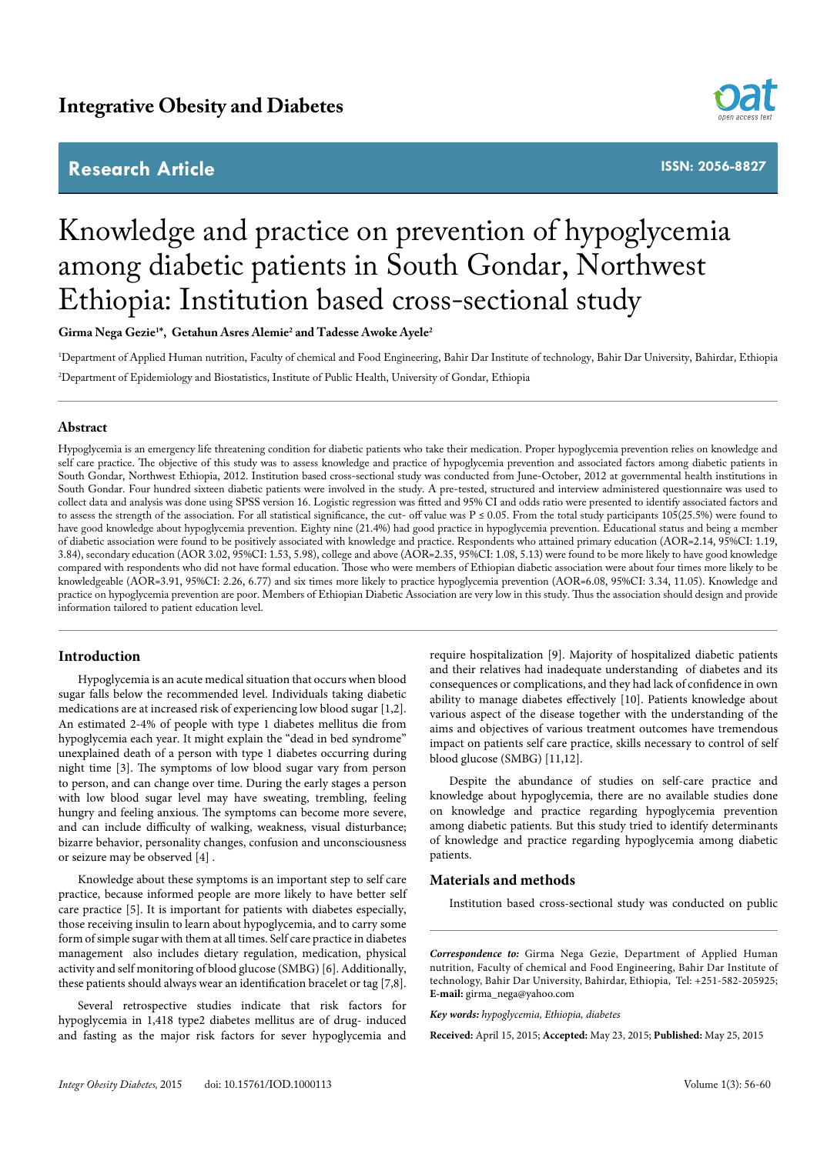# **Research Article**



**ISSN: 2056-8827**

# Knowledge and practice on prevention of hypoglycemia among diabetic patients in South Gondar, Northwest Ethiopia: Institution based cross-sectional study

 $\mathbf{G}$ irma Nega Gezie<sup>1\*</sup>,  $\mathbf{G}$ etahun Asres Alemie<sup>2</sup> and Tadesse Awoke Ayele<sup>2</sup>

1 Department of Applied Human nutrition, Faculty of chemical and Food Engineering, Bahir Dar Institute of technology, Bahir Dar University, Bahirdar, Ethiopia 2 Department of Epidemiology and Biostatistics, Institute of Public Health, University of Gondar, Ethiopia

#### **Abstract**

Hypoglycemia is an emergency life threatening condition for diabetic patients who take their medication. Proper hypoglycemia prevention relies on knowledge and self care practice. The objective of this study was to assess knowledge and practice of hypoglycemia prevention and associated factors among diabetic patients in South Gondar, Northwest Ethiopia, 2012. Institution based cross-sectional study was conducted from June-October, 2012 at governmental health institutions in South Gondar. Four hundred sixteen diabetic patients were involved in the study. A pre-tested, structured and interview administered questionnaire was used to collect data and analysis was done using SPSS version 16. Logistic regression was fitted and 95% CI and odds ratio were presented to identify associated factors and to assess the strength of the association. For all statistical significance, the cut- off value was  $P \le 0.05$ . From the total study participants 105(25.5%) were found to have good knowledge about hypoglycemia prevention. Eighty nine (21.4%) had good practice in hypoglycemia prevention. Educational status and being a member of diabetic association were found to be positively associated with knowledge and practice. Respondents who attained primary education (AOR=2.14, 95%CI: 1.19, 3.84), secondary education (AOR 3.02, 95%CI: 1.53, 5.98), college and above (AOR=2.35, 95%CI: 1.08, 5.13) were found to be more likely to have good knowledge compared with respondents who did not have formal education. Those who were members of Ethiopian diabetic association were about four times more likely to be knowledgeable (AOR=3.91, 95%CI: 2.26, 6.77) and six times more likely to practice hypoglycemia prevention (AOR=6.08, 95%CI: 3.34, 11.05). Knowledge and practice on hypoglycemia prevention are poor. Members of Ethiopian Diabetic Association are very low in this study. Thus the association should design and provide information tailored to patient education level.

## **Introduction**

Hypoglycemia is an acute medical situation that occurs when blood sugar falls below the recommended level. Individuals taking diabetic medications are at increased risk of experiencing low blood sugar [1,2]. An estimated 2-4% of people with type 1 diabetes mellitus die from hypoglycemia each year. It might explain the "dead in bed syndrome" unexplained death of a person with type 1 diabetes occurring during night time [3]. The symptoms of low blood sugar vary from person to person, and can change over time. During the early stages a person with low blood sugar level may have sweating, trembling, feeling hungry and feeling anxious. The symptoms can become more severe, and can include difficulty of walking, weakness, visual disturbance; bizarre behavior, personality changes, confusion and unconsciousness or seizure may be observed [4] .

Knowledge about these symptoms is an important step to self care practice, because informed people are more likely to have better self care practice [5]. It is important for patients with diabetes especially, those receiving insulin to learn about hypoglycemia, and to carry some form of simple sugar with them at all times. Self care practice in diabetes management also includes dietary regulation, medication, physical activity and self monitoring of blood glucose (SMBG) [6]. Additionally, these patients should always wear an identification bracelet or tag [7,8].

Several retrospective studies indicate that risk factors for hypoglycemia in 1,418 type2 diabetes mellitus are of drug- induced and fasting as the major risk factors for sever hypoglycemia and require hospitalization [9]. Majority of hospitalized diabetic patients and their relatives had inadequate understanding of diabetes and its consequences or complications, and they had lack of confidence in own ability to manage diabetes effectively [10]. Patients knowledge about various aspect of the disease together with the understanding of the aims and objectives of various treatment outcomes have tremendous impact on patients self care practice, skills necessary to control of self blood glucose (SMBG) [11,12].

Despite the abundance of studies on self-care practice and knowledge about hypoglycemia, there are no available studies done on knowledge and practice regarding hypoglycemia prevention among diabetic patients. But this study tried to identify determinants of knowledge and practice regarding hypoglycemia among diabetic patients.

#### **Materials and methods**

Institution based cross-sectional study was conducted on public

*Correspondence to:* Girma Nega Gezie, Department of Applied Human nutrition, Faculty of chemical and Food Engineering, Bahir Dar Institute of technology, Bahir Dar University, Bahirdar, Ethiopia, Tel: +251-582-205925; **E-mail:** girma\_nega@yahoo.com

*Key words: hypoglycemia, Ethiopia, diabetes*

**Received:** April 15, 2015; **Accepted:** May 23, 2015; **Published:** May 25, 2015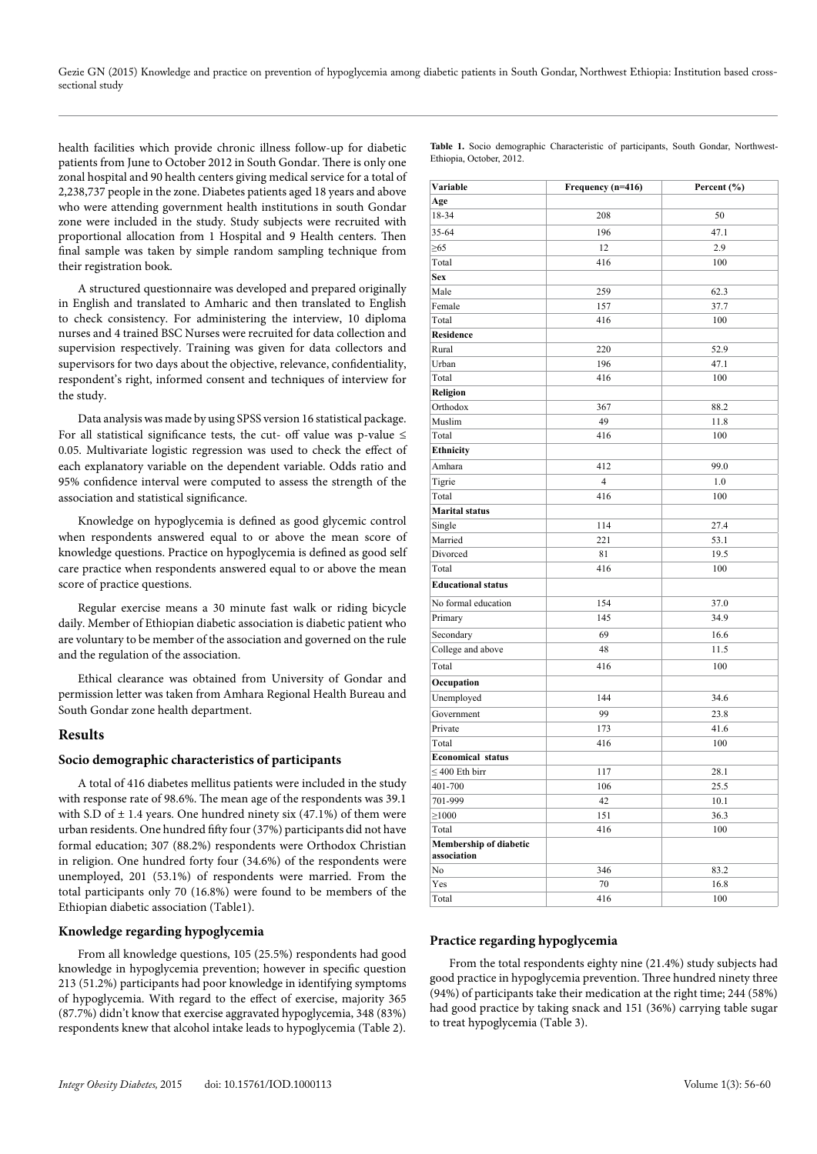health facilities which provide chronic illness follow-up for diabetic patients from June to October 2012 in South Gondar. There is only one zonal hospital and 90 health centers giving medical service for a total of 2,238,737 people in the zone. Diabetes patients aged 18 years and above who were attending government health institutions in south Gondar zone were included in the study. Study subjects were recruited with proportional allocation from 1 Hospital and 9 Health centers. Then final sample was taken by simple random sampling technique from their registration book.

A structured questionnaire was developed and prepared originally in English and translated to Amharic and then translated to English to check consistency. For administering the interview, 10 diploma nurses and 4 trained BSC Nurses were recruited for data collection and supervision respectively. Training was given for data collectors and supervisors for two days about the objective, relevance, confidentiality, respondent's right, informed consent and techniques of interview for the study.

Data analysis was made by using SPSS version 16 statistical package. For all statistical significance tests, the cut- off value was p-value  $\leq$ 0.05. Multivariate logistic regression was used to check the effect of each explanatory variable on the dependent variable. Odds ratio and 95% confidence interval were computed to assess the strength of the association and statistical significance.

Knowledge on hypoglycemia is defined as good glycemic control when respondents answered equal to or above the mean score of knowledge questions. Practice on hypoglycemia is defined as good self care practice when respondents answered equal to or above the mean score of practice questions.

Regular exercise means a 30 minute fast walk or riding bicycle daily. Member of Ethiopian diabetic association is diabetic patient who are voluntary to be member of the association and governed on the rule and the regulation of the association.

Ethical clearance was obtained from University of Gondar and permission letter was taken from Amhara Regional Health Bureau and South Gondar zone health department.

#### **Results**

#### **Socio demographic characteristics of participants**

A total of 416 diabetes mellitus patients were included in the study with response rate of 98.6%. The mean age of the respondents was 39.1 with S.D of  $\pm$  1.4 years. One hundred ninety six (47.1%) of them were urban residents. One hundred fifty four (37%) participants did not have formal education; 307 (88.2%) respondents were Orthodox Christian in religion. One hundred forty four (34.6%) of the respondents were unemployed, 201 (53.1%) of respondents were married. From the total participants only 70 (16.8%) were found to be members of the Ethiopian diabetic association (Table1).

#### **Knowledge regarding hypoglycemia**

From all knowledge questions, 105 (25.5%) respondents had good knowledge in hypoglycemia prevention; however in specific question 213 (51.2%) participants had poor knowledge in identifying symptoms of hypoglycemia. With regard to the effect of exercise, majority 365 (87.7%) didn't know that exercise aggravated hypoglycemia, 348 (83%) respondents knew that alcohol intake leads to hypoglycemia (Table 2).

| Variable                  | Frequency (n=416) | Percent $(\% )$ |  |  |
|---------------------------|-------------------|-----------------|--|--|
| Age                       |                   |                 |  |  |
| 18-34                     | 208               | 50              |  |  |
| 35-64                     | 196               | 47.1            |  |  |
| $\geq 65$                 | 12                | 2.9             |  |  |
| Total                     | 416               | 100             |  |  |
| <b>Sex</b>                |                   |                 |  |  |
| Male                      | 259               | 62.3            |  |  |
| Female                    | 157               | 37.7            |  |  |
| Total                     | 416               | 100             |  |  |
| <b>Residence</b>          |                   |                 |  |  |
| Rural                     | 220               | 52.9            |  |  |
| Urban                     | 196               | 47.1            |  |  |
| Total                     | 416               | 100             |  |  |
| Religion                  |                   |                 |  |  |
| Orthodox                  | 367               | 88.2            |  |  |
| Muslim                    | 49                | 11.8            |  |  |
| Total                     | 416               | 100             |  |  |
| Ethnicity                 |                   |                 |  |  |
| Amhara                    | 412               | 99.0            |  |  |
| Tigrie                    | $\overline{4}$    | 1.0             |  |  |
| Total                     | 416               | 100             |  |  |
| <b>Marital status</b>     |                   |                 |  |  |
| Single                    | 114               | 27.4            |  |  |
| Married                   | 221               | 53.1            |  |  |
| Divorced                  | 81                | 19.5            |  |  |
| Total                     | 416               | 100             |  |  |
| <b>Educational status</b> |                   |                 |  |  |
| No formal education       | 154               | 37.0            |  |  |
| Primary                   | 145               | 34.9            |  |  |
| Secondary                 | 69                | 16.6            |  |  |
| College and above         | 48                | 11.5            |  |  |
|                           |                   |                 |  |  |
| Total                     | 416               | 100             |  |  |
| Occupation                |                   |                 |  |  |
| Unemployed                | 144               | 34.6            |  |  |
| Government                | 99                | 23.8            |  |  |
| Private                   | 173               | 41.6            |  |  |
| Total                     | 416               | 100             |  |  |
| <b>Economical status</b>  |                   |                 |  |  |
| $\leq$ 400 Eth birr       | 117               | 28.1            |  |  |
| 401-700                   | 106               | 25.5            |  |  |
| 701-999                   | 42                | 10.1            |  |  |
| $\geq 1000$               | 151               | 36.3            |  |  |
| Total                     | 416               | 100             |  |  |
| Membership of diabetic    |                   |                 |  |  |
| association               |                   |                 |  |  |
| No                        | 346               | 83.2            |  |  |
| Yes                       | 70                | 16.8            |  |  |
| Total                     | 416               | 100             |  |  |

#### **Practice regarding hypoglycemia**

From the total respondents eighty nine (21.4%) study subjects had good practice in hypoglycemia prevention. Three hundred ninety three (94%) of participants take their medication at the right time; 244 (58%) had good practice by taking snack and 151 (36%) carrying table sugar to treat hypoglycemia (Table 3).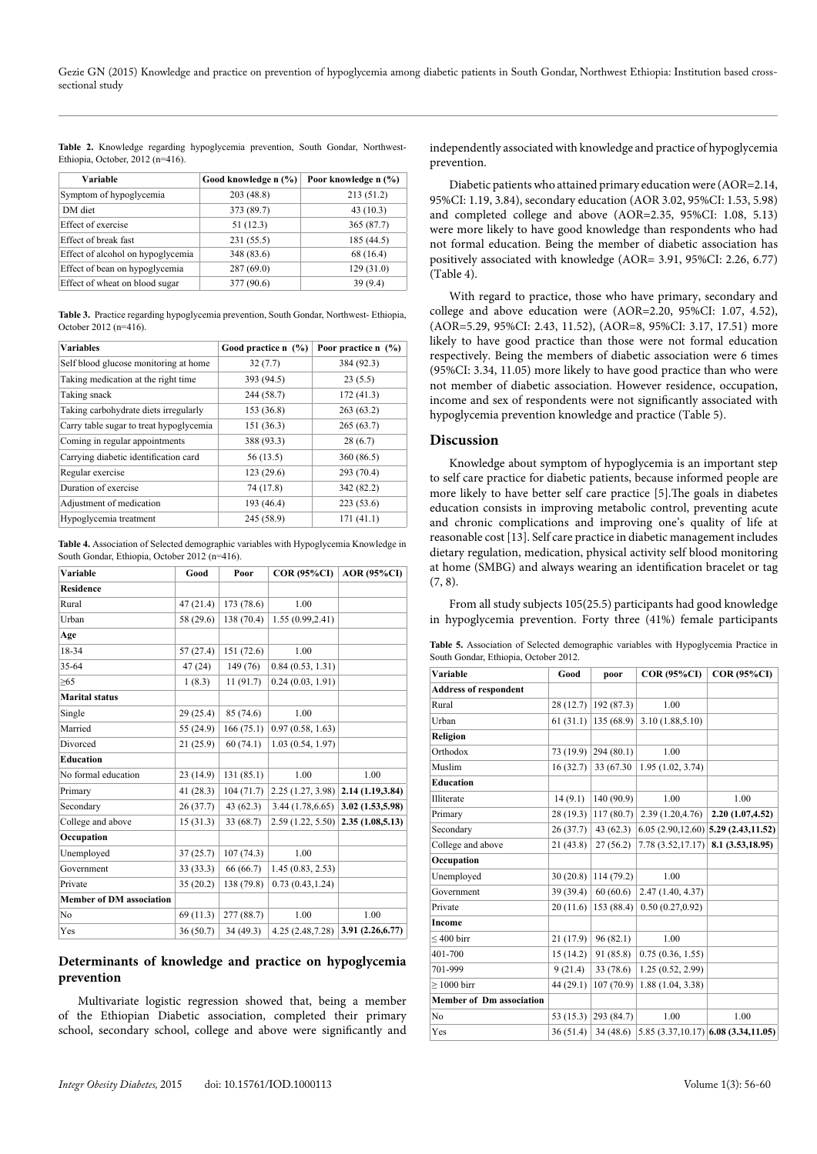Table 2. Knowledge regarding hypoglycemia prevention, South Gondar, Northwest-Ethiopia, October,  $2012$  (n=416).

| Variable                          | Good knowledge n (%) | Poor knowledge n (%) |
|-----------------------------------|----------------------|----------------------|
| Symptom of hypoglycemia           | 203(48.8)            | 213 (51.2)           |
| DM diet                           | 373 (89.7)           | 43(10.3)             |
| Effect of exercise                | 51 (12.3)            | 365(87.7)            |
| Effect of break fast              | 231(55.5)            | 185 (44.5)           |
| Effect of alcohol on hypoglycemia | 348 (83.6)           | 68 (16.4)            |
| Effect of bean on hypoglycemia    | 287(69.0)            | 129(31.0)            |
| Effect of wheat on blood sugar    | 377 (90.6)           | 39 (9.4)             |

**Table 3.** Practice regarding hypoglycemia prevention, South Gondar, Northwest- Ethiopia, October 2012 (n=416).

| <b>Variables</b>                        | Good practice n (%) | Poor practice $n$ $(\%)$ |  |
|-----------------------------------------|---------------------|--------------------------|--|
| Self blood glucose monitoring at home   | 32(7.7)             | 384 (92.3)               |  |
| Taking medication at the right time.    | 393 (94.5)          | 23(5.5)                  |  |
| Taking snack                            | 244 (58.7)          | 172(41.3)                |  |
| Taking carbohydrate diets irregularly   | 153 (36.8)          | 263(63.2)                |  |
| Carry table sugar to treat hypoglycemia | 151(36.3)           | 265(63.7)                |  |
| Coming in regular appointments          | 388 (93.3)          | 28(6.7)                  |  |
| Carrying diabetic identification card   | 56 (13.5)           | 360 (86.5)               |  |
| Regular exercise                        | 123(29.6)           | 293 (70.4)               |  |
| Duration of exercise                    | 74 (17.8)           | 342 (82.2)               |  |
| Adjustment of medication                | 193 (46.4)          | 223(53.6)                |  |
| Hypoglycemia treatment                  | 245 (58.9)          | 171(41.1)                |  |

**Table 4.** Association of Selected demographic variables with Hypoglycemia Knowledge in South Gondar, Ethiopia, October 2012 (n=416).

| Variable                        | Good      | Poor       | <b>COR (95%CI)</b> | <b>AOR</b> (95%CI) |
|---------------------------------|-----------|------------|--------------------|--------------------|
| <b>Residence</b>                |           |            |                    |                    |
| Rural                           | 47(21.4)  | 173(78.6)  | 1.00               |                    |
| Urban                           | 58 (29.6) | 138 (70.4) | 1.55(0.99, 2.41)   |                    |
| Age                             |           |            |                    |                    |
| 18-34                           | 57(27.4)  | 151(72.6)  | 1.00               |                    |
| 35-64                           | 47(24)    | 149 (76)   | 0.84(0.53, 1.31)   |                    |
| >65                             | 1(8.3)    | 11(91.7)   | 0.24(0.03, 1.91)   |                    |
| <b>Marital status</b>           |           |            |                    |                    |
| Single                          | 29(25.4)  | 85(74.6)   | 1.00               |                    |
| Married                         | 55 (24.9) | 166(75.1)  | 0.97(0.58, 1.63)   |                    |
| Divorced                        | 21(25.9)  | 60(74.1)   | 1.03(0.54, 1.97)   |                    |
| <b>Education</b>                |           |            |                    |                    |
| No formal education             | 23(14.9)  | 131(85.1)  | 1.00               | 1.00               |
| Primary                         | 41(28.3)  | 104(71.7)  | 2.25(1.27, 3.98)   | 2.14 (1.19,3.84)   |
| Secondary                       | 26(37.7)  | 43(62.3)   | 3.44(1.78, 6.65)   | 3.02 (1.53,5.98)   |
| College and above               | 15(31.3)  | 33(68.7)   | 2.59 (1.22, 5.50)  | 2.35(1.08, 5.13)   |
| Occupation                      |           |            |                    |                    |
| Unemployed                      | 37(25.7)  | 107(74.3)  | 1.00               |                    |
| Government                      | 33(33.3)  | 66 (66.7)  | 1.45(0.83, 2.53)   |                    |
| Private                         | 35(20.2)  | 138 (79.8) | 0.73(0.43, 1.24)   |                    |
| <b>Member of DM association</b> |           |            |                    |                    |
| No                              | 69(11.3)  | 277(88.7)  | 1.00               | 1.00               |
| Yes                             | 36(50.7)  | 34(49.3)   | 4.25(2.48,7.28)    | 3.91 (2.26,6.77)   |

## **Determinants of knowledge and practice on hypoglycemia prevention**

Multivariate logistic regression showed that, being a member of the Ethiopian Diabetic association, completed their primary school, secondary school, college and above were significantly and independently associated with knowledge and practice of hypoglycemia prevention.

Diabetic patients who attained primary education were (AOR=2.14, 95%CI: 1.19, 3.84), secondary education (AOR 3.02, 95%CI: 1.53, 5.98) and completed college and above (AOR=2.35, 95%CI: 1.08, 5.13) were more likely to have good knowledge than respondents who had not formal education. Being the member of diabetic association has positively associated with knowledge (AOR= 3.91, 95%CI: 2.26, 6.77) (Table 4).

With regard to practice, those who have primary, secondary and college and above education were (AOR=2.20, 95%CI: 1.07, 4.52), (AOR=5.29, 95%CI: 2.43, 11.52), (AOR=8, 95%CI: 3.17, 17.51) more likely to have good practice than those were not formal education respectively. Being the members of diabetic association were 6 times (95%CI: 3.34, 11.05) more likely to have good practice than who were not member of diabetic association. However residence, occupation, income and sex of respondents were not significantly associated with hypoglycemia prevention knowledge and practice (Table 5).

## **Discussion**

Knowledge about symptom of hypoglycemia is an important step to self care practice for diabetic patients, because informed people are more likely to have better self care practice [5].The goals in diabetes education consists in improving metabolic control, preventing acute and chronic complications and improving one's quality of life at reasonable cost [13]. Self care practice in diabetic management includes dietary regulation, medication, physical activity self blood monitoring at home (SMBG) and always wearing an identification bracelet or tag  $(7, 8)$ .

From all study subjects 105(25.5) participants had good knowledge in hypoglycemia prevention. Forty three (41%) female participants

**Table 5.** Association of Selected demographic variables with Hypoglycemia Practice in South Gondar, Ethiopia, October 2012.

| Variable                        | Good     | poor                  | <b>COR (95%CI)</b>                     | <b>COR (95%CI)</b>                   |
|---------------------------------|----------|-----------------------|----------------------------------------|--------------------------------------|
| <b>Address of respondent</b>    |          |                       |                                        |                                      |
| Rural                           |          | $28(12.7)$ 192 (87.3) | 1.00                                   |                                      |
| Urban                           |          | $61(31.1)$ 135 (68.9) | 3.10(1.88, 5.10)                       |                                      |
| Religion                        |          |                       |                                        |                                      |
| Orthodox                        | 73(19.9) | 294(80.1)             | 1.00                                   |                                      |
| Muslim                          | 16(32.7) | 33 (67.30)            | 1.95(1.02, 3.74)                       |                                      |
| <b>Education</b>                |          |                       |                                        |                                      |
| Illiterate                      | 14(9.1)  | 140(90.9)             | 1.00                                   | 1.00                                 |
| Primary                         | 28(19.3) | 117(80.7)             | 2.39(1.20, 4.76)                       | 2.20(1.07, 4.52)                     |
| Secondary                       | 26(37.7) | 43(62.3)              | $6.05(2.90, 12.60)$ 5.29 (2.43, 11.52) |                                      |
| College and above               | 21(43.8) | 27(56.2)              | 7.78(3.52,17.17)                       | 8.1 (3.53, 18.95)                    |
| Occupation                      |          |                       |                                        |                                      |
| Unemployed                      | 30(20.8) | 114(79.2)             | 1.00                                   |                                      |
| Government                      | 39(39.4) | 60(60.6)              | 2.47 (1.40, 4.37)                      |                                      |
| Private                         | 20(11.6) | 153(88.4)             | 0.50(0.27, 0.92)                       |                                      |
| <b>Income</b>                   |          |                       |                                        |                                      |
| $\leq 400$ birr                 | 21(17.9) | 96(82.1)              | 1.00                                   |                                      |
| 401-700                         | 15(14.2) | 91 (85.8)             | 0.75(0.36, 1.55)                       |                                      |
| 701-999                         | 9(21.4)  | 33(78.6)              | 1.25(0.52, 2.99)                       |                                      |
| $>1000$ birr                    | 44(29.1) | 107(70.9)             | 1.88(1.04, 3.38)                       |                                      |
| <b>Member of Dm association</b> |          |                       |                                        |                                      |
| N <sub>0</sub>                  |          | 53 (15.3) 293 (84.7)  | 1.00                                   | 1.00                                 |
| Yes                             | 36(51.4) | 34(48.6)              |                                        | $5.85(3.37,10.17)$ 6.08 (3.34,11.05) |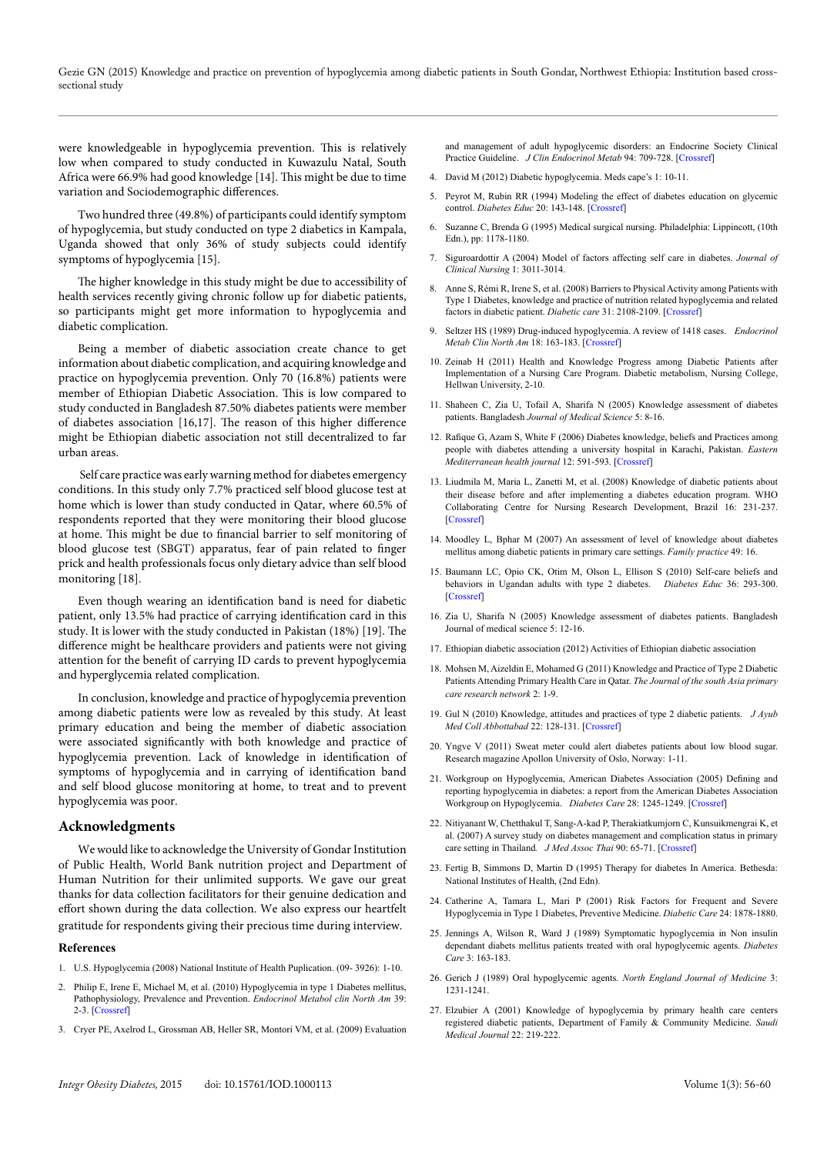Gezie GN (2015) Knowledge and practice on prevention of hypoglycemia among diabetic patients in South Gondar, Northwest Ethiopia: Institution based crosssectional study

were knowledgeable in hypoglycemia prevention. This is relatively low when compared to study conducted in Kuwazulu Natal, South Africa were 66.9% had good knowledge [14]. This might be due to time variation and Sociodemographic differences.

Two hundred three (49.8%) of participants could identify symptom of hypoglycemia, but study conducted on type 2 diabetics in Kampala, Uganda showed that only 36% of study subjects could identify symptoms of hypoglycemia [15].

The higher knowledge in this study might be due to accessibility of health services recently giving chronic follow up for diabetic patients, so participants might get more information to hypoglycemia and diabetic complication.

Being a member of diabetic association create chance to get information about diabetic complication, and acquiring knowledge and practice on hypoglycemia prevention. Only 70 (16.8%) patients were member of Ethiopian Diabetic Association. This is low compared to study conducted in Bangladesh 87.50% diabetes patients were member of diabetes association [16,17]. The reason of this higher difference might be Ethiopian diabetic association not still decentralized to far urban areas.

 Self care practice was early warning method for diabetes emergency conditions. In this study only 7.7% practiced self blood glucose test at home which is lower than study conducted in Qatar, where 60.5% of respondents reported that they were monitoring their blood glucose at home. This might be due to financial barrier to self monitoring of blood glucose test (SBGT) apparatus, fear of pain related to finger prick and health professionals focus only dietary advice than self blood monitoring [18].

Even though wearing an identification band is need for diabetic patient, only 13.5% had practice of carrying identification card in this study. It is lower with the study conducted in Pakistan (18%) [19]. The difference might be healthcare providers and patients were not giving attention for the benefit of carrying ID cards to prevent hypoglycemia and hyperglycemia related complication.

In conclusion, knowledge and practice of hypoglycemia prevention among diabetic patients were low as revealed by this study. At least primary education and being the member of diabetic association were associated significantly with both knowledge and practice of hypoglycemia prevention. Lack of knowledge in identification of symptoms of hypoglycemia and in carrying of identification band and self blood glucose monitoring at home, to treat and to prevent hypoglycemia was poor.

#### **Acknowledgments**

We would like to acknowledge the University of Gondar Institution of Public Health, World Bank nutrition project and Department of Human Nutrition for their unlimited supports. We gave our great thanks for data collection facilitators for their genuine dedication and effort shown during the data collection. We also express our heartfelt gratitude for respondents giving their precious time during interview.

#### **References**

- 1. U.S. Hypoglycemia (2008) National Institute of Health Puplication. (09- 3926): 1-10.
- 2. Philip E, Irene E, Michael M, et al. (2010) Hypoglycemia in type 1 Diabetes mellitus, Pathophysiology, Prevalence and Prevention. *Endocrinol Metabol clin North Am* 39: 2-3. [\[Crossref\]](http://www.ncbi.nlm.nih.gov/pmc/articles/PMC2923455/)
- 3. Cryer PE, Axelrod L, Grossman AB, Heller SR, Montori VM, et al. (2009) Evaluation

and management of adult hypoglycemic disorders: an Endocrine Society Clinical Practice Guideline. *J Clin Endocrinol Metab* 94: 709-728. [[Crossref\]](http://www.ncbi.nlm.nih.gov/pubmed/19088155)

- 4. David M (2012) Diabetic hypoglycemia. Meds cape's 1: 10-11.
- 5. Peyrot M, Rubin RR (1994) Modeling the effect of diabetes education on glycemic control. *Diabetes Educ* 20: 143-148. [[Crossref](http://www.ncbi.nlm.nih.gov/pubmed/7851228)]
- 6. Suzanne C, Brenda G (1995) Medical surgical nursing. Philadelphia: Lippincott, (10th Edn.), pp: 1178-1180.
- 7. Siguroardottir A (2004) Model of factors affecting self care in diabetes. *Journal of Clinical Nursing* 1: 3011-3014.
- 8. Anne S, Rémi R, Irene S, et al. (2008) Barriers to Physical Activity among Patients with Type 1 Diabetes, knowledge and practice of nutrition related hypoglycemia and related factors in diabetic patient. *Diabetic care* 31: 2108-2109. [[Crossref](http://www.ncbi.nlm.nih.gov/pmc/articles/PMC2571055/)]
- 9. Seltzer HS (1989) Drug-induced hypoglycemia. A review of 1418 cases. *Endocrinol Metab Clin North Am* 18: 163-183. [[Crossref\]](http://www.ncbi.nlm.nih.gov/pubmed/2645125)
- 10. Zeinab H (2011) Health and Knowledge Progress among Diabetic Patients after Implementation of a Nursing Care Program. Diabetic metabolism, Nursing College, Hellwan University, 2-10.
- 11. Shaheen C, Zia U, Tofail A, Sharifa N (2005) Knowledge assessment of diabetes patients. Bangladesh *Journal of Medical Science* 5: 8-16.
- 12. Rafique G, Azam S, White F (2006) Diabetes knowledge, beliefs and Practices among people with diabetes attending a university hospital in Karachi, Pakistan. *Eastern Mediterranean health journal* 12: 591-593. [[Crossref](http://www.ncbi.nlm.nih.gov/pubmed/17333798)]
- 13. Liudmila M, Maria L, Zanetti M, et al. (2008) Knowledge of diabetic patients about their disease before and after implementing a diabetes education program. WHO Collaborating Centre for Nursing Research Development, Brazil 16: 231-237. [[Crossref\]](http://www.ncbi.nlm.nih.gov/pubmed/18506341)
- 14. Moodley L, Bphar M (2007) An assessment of level of knowledge about diabetes mellitus among diabetic patients in primary care settings. *Family practice* 49: 16.
- 15. Baumann LC, Opio CK, Otim M, Olson L, Ellison S (2010) Self-care beliefs and behaviors in Ugandan adults with type 2 diabetes. *Diabetes Educ* 36: 293-300. [[Crossref\]](http://www.ncbi.nlm.nih.gov/pubmed/20067944)
- 16. Zia U, Sharifa N (2005) Knowledge assessment of diabetes patients. Bangladesh Journal of medical science 5: 12-16.
- 17. Ethiopian diabetic association (2012) Activities of Ethiopian diabetic association
- 18. Mohsen M, Aizeldin E, Mohamed G (2011) Knowledge and Practice of Type 2 Diabetic Patients Attending Primary Health Care in Qatar. *The Journal of the south Asia primary care research network* 2: 1-9.
- 19. Gul N (2010) Knowledge, attitudes and practices of type 2 diabetic patients. *J Ayub Med Coll Abbottabad* 22: 128-131. [[Crossref](http://www.ncbi.nlm.nih.gov/pubmed/22338437)]
- 20. Yngve V (2011) Sweat meter could alert diabetes patients about low blood sugar. Research magazine Apollon University of Oslo, Norway: 1-11.
- 21. Workgroup on Hypoglycemia, American Diabetes Association (2005) Defining and reporting hypoglycemia in diabetes: a report from the American Diabetes Association Workgroup on Hypoglycemia. *Diabetes Care* 28: 1245-1249. [[Crossref\]](http://www.ncbi.nlm.nih.gov/pubmed/15855602)
- 22. Nitiyanant W, Chetthakul T, Sang-A-kad P, Therakiatkumjorn C, Kunsuikmengrai K, et al. (2007) A survey study on diabetes management and complication status in primary care setting in Thailand*. J Med Assoc Thai* 90: 65-71. [[Crossref](http://www.ncbi.nlm.nih.gov/pubmed/17621735)]
- 23. Fertig B, Simmons D, Martin D (1995) Therapy for diabetes In America. Bethesda: National Institutes of Health, (2nd Edn).
- 24. Catherine A, Tamara L, Mari P (2001) Risk Factors for Frequent and Severe Hypoglycemia in Type 1 Diabetes, Preventive Medicine. *Diabetic Care* 24: 1878-1880.
- 25. Jennings A, Wilson R, Ward J (1989) Symptomatic hypoglycemia in Non insulin dependant diabets mellitus patients treated with oral hypoglycemic agents. *Diabetes Care* 3: 163-183.
- 26. Gerich J (1989) Oral hypoglycemic agents. *North England Journal of Medicine* 3: 1231-1241.
- 27. Elzubier A (2001) Knowledge of hypoglycemia by primary health care centers registered diabetic patients, Department of Family & Community Medicine. *Saudi Medical Journal* 22: 219-222.